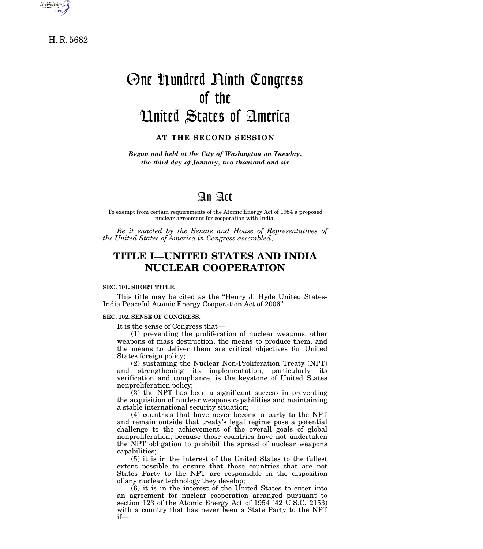

H. R. 5682

# One Hundred Ninth Congress of the United States of America

### **AT THE SECOND SESSION**

*Begun and held at the City of Washington on Tuesday, the third day of January, two thousand and six* 

# An Act

To exempt from certain requirements of the Atomic Energy Act of 1954 a proposed nuclear agreement for cooperation with India.

*Be it enacted by the Senate and House of Representatives of the United States of America in Congress assembled*,

# **TITLE I—UNITED STATES AND INDIA NUCLEAR COOPERATION**

#### **SEC. 101. SHORT TITLE.**

This title may be cited as the ''Henry J. Hyde United States-India Peaceful Atomic Energy Cooperation Act of 2006''.

#### **SEC. 102. SENSE OF CONGRESS.**

It is the sense of Congress that—

(1) preventing the proliferation of nuclear weapons, other weapons of mass destruction, the means to produce them, and the means to deliver them are critical objectives for United States foreign policy;

(2) sustaining the Nuclear Non-Proliferation Treaty (NPT) and strengthening its implementation, particularly its verification and compliance, is the keystone of United States nonproliferation policy;

(3) the NPT has been a significant success in preventing the acquisition of nuclear weapons capabilities and maintaining a stable international security situation;

(4) countries that have never become a party to the NPT and remain outside that treaty's legal regime pose a potential challenge to the achievement of the overall goals of global nonproliferation, because those countries have not undertaken the NPT obligation to prohibit the spread of nuclear weapons capabilities;

(5) it is in the interest of the United States to the fullest extent possible to ensure that those countries that are not States Party to the NPT are responsible in the disposition of any nuclear technology they develop;

(6) it is in the interest of the United States to enter into an agreement for nuclear cooperation arranged pursuant to section 123 of the Atomic Energy Act of 1954 (42 U.S.C. 2153) with a country that has never been a State Party to the NPT if—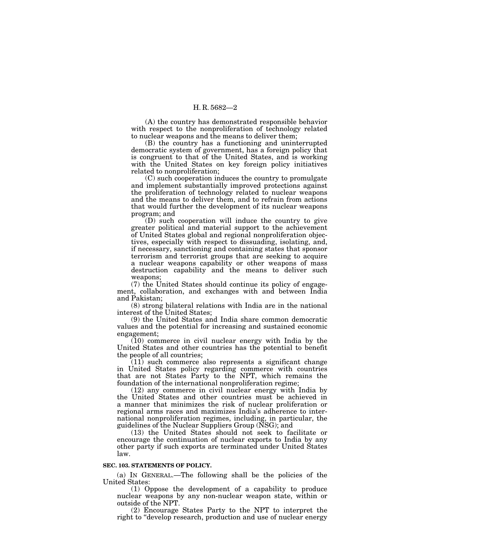(A) the country has demonstrated responsible behavior with respect to the nonproliferation of technology related to nuclear weapons and the means to deliver them;

(B) the country has a functioning and uninterrupted democratic system of government, has a foreign policy that is congruent to that of the United States, and is working with the United States on key foreign policy initiatives related to nonproliferation;

(C) such cooperation induces the country to promulgate and implement substantially improved protections against the proliferation of technology related to nuclear weapons and the means to deliver them, and to refrain from actions that would further the development of its nuclear weapons program; and

(D) such cooperation will induce the country to give greater political and material support to the achievement of United States global and regional nonproliferation objectives, especially with respect to dissuading, isolating, and, if necessary, sanctioning and containing states that sponsor terrorism and terrorist groups that are seeking to acquire a nuclear weapons capability or other weapons of mass destruction capability and the means to deliver such weapons;

(7) the United States should continue its policy of engagement, collaboration, and exchanges with and between India and Pakistan;

(8) strong bilateral relations with India are in the national interest of the United States;

(9) the United States and India share common democratic values and the potential for increasing and sustained economic engagement;

(10) commerce in civil nuclear energy with India by the United States and other countries has the potential to benefit the people of all countries;

(11) such commerce also represents a significant change in United States policy regarding commerce with countries that are not States Party to the NPT, which remains the foundation of the international nonproliferation regime;

(12) any commerce in civil nuclear energy with India by the United States and other countries must be achieved in a manner that minimizes the risk of nuclear proliferation or regional arms races and maximizes India's adherence to international nonproliferation regimes, including, in particular, the guidelines of the Nuclear Suppliers Group (NSG); and

(13) the United States should not seek to facilitate or encourage the continuation of nuclear exports to India by any other party if such exports are terminated under United States law.

#### **SEC. 103. STATEMENTS OF POLICY.**

(a) IN GENERAL.—The following shall be the policies of the United States:

(1) Oppose the development of a capability to produce nuclear weapons by any non-nuclear weapon state, within or outside of the NPT.

(2) Encourage States Party to the NPT to interpret the right to "develop research, production and use of nuclear energy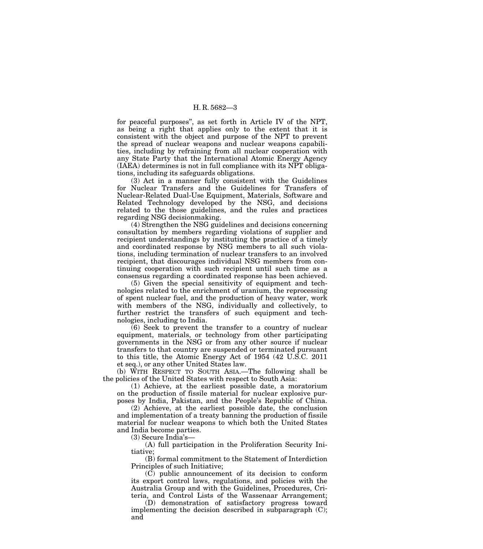for peaceful purposes'', as set forth in Article IV of the NPT, as being a right that applies only to the extent that it is consistent with the object and purpose of the NPT to prevent the spread of nuclear weapons and nuclear weapons capabilities, including by refraining from all nuclear cooperation with any State Party that the International Atomic Energy Agency (IAEA) determines is not in full compliance with its NPT obligations, including its safeguards obligations.

(3) Act in a manner fully consistent with the Guidelines for Nuclear Transfers and the Guidelines for Transfers of Nuclear-Related Dual-Use Equipment, Materials, Software and Related Technology developed by the NSG, and decisions related to the those guidelines, and the rules and practices regarding NSG decisionmaking.

(4) Strengthen the NSG guidelines and decisions concerning consultation by members regarding violations of supplier and recipient understandings by instituting the practice of a timely and coordinated response by NSG members to all such violations, including termination of nuclear transfers to an involved recipient, that discourages individual NSG members from continuing cooperation with such recipient until such time as a consensus regarding a coordinated response has been achieved.

(5) Given the special sensitivity of equipment and technologies related to the enrichment of uranium, the reprocessing of spent nuclear fuel, and the production of heavy water, work with members of the NSG, individually and collectively, to further restrict the transfers of such equipment and technologies, including to India.

(6) Seek to prevent the transfer to a country of nuclear equipment, materials, or technology from other participating governments in the NSG or from any other source if nuclear transfers to that country are suspended or terminated pursuant to this title, the Atomic Energy Act of 1954 (42 U.S.C. 2011 et seq.), or any other United States law.

(b) WITH RESPECT TO SOUTH ASIA.—The following shall be the policies of the United States with respect to South Asia:

(1) Achieve, at the earliest possible date, a moratorium on the production of fissile material for nuclear explosive purposes by India, Pakistan, and the People's Republic of China.

(2) Achieve, at the earliest possible date, the conclusion and implementation of a treaty banning the production of fissile material for nuclear weapons to which both the United States and India become parties.

(3) Secure India's—

(A) full participation in the Proliferation Security Initiative;

(B) formal commitment to the Statement of Interdiction Principles of such Initiative;

(C) public announcement of its decision to conform its export control laws, regulations, and policies with the Australia Group and with the Guidelines, Procedures, Criteria, and Control Lists of the Wassenaar Arrangement;

(D) demonstration of satisfactory progress toward implementing the decision described in subparagraph (C); and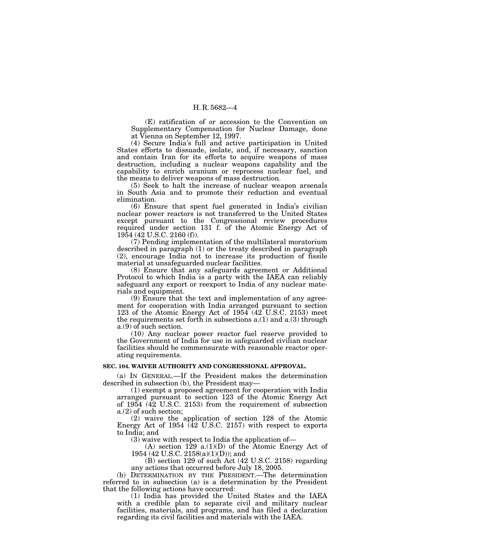(E) ratification of or accession to the Convention on Supplementary Compensation for Nuclear Damage, done at Vienna on September 12, 1997.

(4) Secure India's full and active participation in United States efforts to dissuade, isolate, and, if necessary, sanction and contain Iran for its efforts to acquire weapons of mass destruction, including a nuclear weapons capability and the capability to enrich uranium or reprocess nuclear fuel, and the means to deliver weapons of mass destruction.

(5) Seek to halt the increase of nuclear weapon arsenals in South Asia and to promote their reduction and eventual elimination.

(6) Ensure that spent fuel generated in India's civilian nuclear power reactors is not transferred to the United States except pursuant to the Congressional review procedures required under section 131 f. of the Atomic Energy Act of 1954 (42 U.S.C. 2160 (f)).

(7) Pending implementation of the multilateral moratorium described in paragraph (1) or the treaty described in paragraph (2), encourage India not to increase its production of fissile material at unsafeguarded nuclear facilities.

(8) Ensure that any safeguards agreement or Additional Protocol to which India is a party with the IAEA can reliably safeguard any export or reexport to India of any nuclear materials and equipment.

(9) Ensure that the text and implementation of any agreement for cooperation with India arranged pursuant to section 123 of the Atomic Energy Act of 1954 (42 U.S.C. 2153) meet the requirements set forth in subsections a.(1) and a.(3) through a.(9) of such section.

(10) Any nuclear power reactor fuel reserve provided to the Government of India for use in safeguarded civilian nuclear facilities should be commensurate with reasonable reactor operating requirements.

#### **SEC. 104. WAIVER AUTHORITY AND CONGRESSIONAL APPROVAL.**

(a) IN GENERAL.—If the President makes the determination described in subsection (b), the President may—

(1) exempt a proposed agreement for cooperation with India arranged pursuant to section 123 of the Atomic Energy Act of 1954 (42 U.S.C. 2153) from the requirement of subsection a.(2) of such section;

(2) waive the application of section 128 of the Atomic Energy Act of 1954 (42 U.S.C. 2157) with respect to exports to India; and

(3) waive with respect to India the application of—

 $(A)$  section 129 a. $(1)(D)$  of the Atomic Energy Act of 1954 (42 U.S.C. 2158(a)(1)(D)); and

(B) section 129 of such Act (42 U.S.C. 2158) regarding any actions that occurred before July 18, 2005.

(b) DETERMINATION BY THE PRESIDENT.—The determination referred to in subsection (a) is a determination by the President that the following actions have occurred:

(1) India has provided the United States and the IAEA with a credible plan to separate civil and military nuclear facilities, materials, and programs, and has filed a declaration regarding its civil facilities and materials with the IAEA.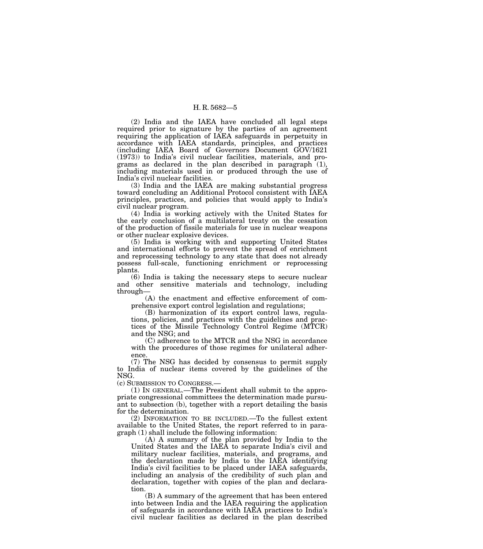(2) India and the IAEA have concluded all legal steps required prior to signature by the parties of an agreement requiring the application of IAEA safeguards in perpetuity in accordance with IAEA standards, principles, and practices (including IAEA Board of Governors Document GOV/1621 (1973)) to India's civil nuclear facilities, materials, and programs as declared in the plan described in paragraph (1), including materials used in or produced through the use of India's civil nuclear facilities.

(3) India and the IAEA are making substantial progress toward concluding an Additional Protocol consistent with IAEA principles, practices, and policies that would apply to India's civil nuclear program.

(4) India is working actively with the United States for the early conclusion of a multilateral treaty on the cessation of the production of fissile materials for use in nuclear weapons or other nuclear explosive devices.

(5) India is working with and supporting United States and international efforts to prevent the spread of enrichment and reprocessing technology to any state that does not already possess full-scale, functioning enrichment or reprocessing plants.

(6) India is taking the necessary steps to secure nuclear and other sensitive materials and technology, including through—

(A) the enactment and effective enforcement of comprehensive export control legislation and regulations;

(B) harmonization of its export control laws, regulations, policies, and practices with the guidelines and practices of the Missile Technology Control Regime (MTCR) and the NSG; and

(C) adherence to the MTCR and the NSG in accordance with the procedures of those regimes for unilateral adherence.

(7) The NSG has decided by consensus to permit supply to India of nuclear items covered by the guidelines of the NSG.

(c) SUBMISSION TO CONGRESS.—

(1) IN GENERAL.—The President shall submit to the appropriate congressional committees the determination made pursuant to subsection (b), together with a report detailing the basis for the determination.

(2) INFORMATION TO BE INCLUDED.—To the fullest extent available to the United States, the report referred to in paragraph (1) shall include the following information:

(A) A summary of the plan provided by India to the United States and the IAEA to separate India's civil and military nuclear facilities, materials, and programs, and the declaration made by India to the IAEA identifying India's civil facilities to be placed under IAEA safeguards, including an analysis of the credibility of such plan and declaration, together with copies of the plan and declaration.

(B) A summary of the agreement that has been entered into between India and the IAEA requiring the application of safeguards in accordance with IAEA practices to India's civil nuclear facilities as declared in the plan described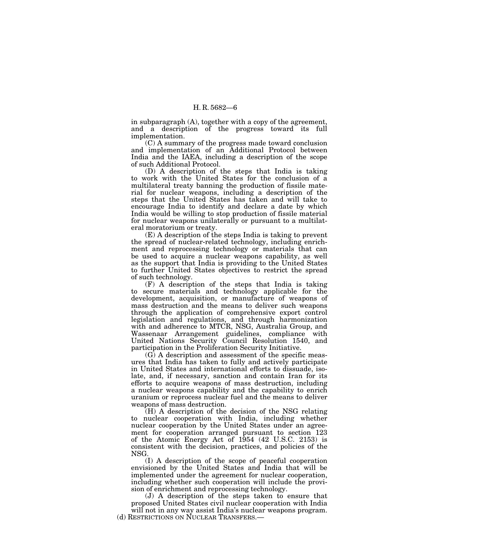in subparagraph (A), together with a copy of the agreement, and a description of the progress toward its full implementation.

(C) A summary of the progress made toward conclusion and implementation of an Additional Protocol between India and the IAEA, including a description of the scope of such Additional Protocol.

(D) A description of the steps that India is taking to work with the United States for the conclusion of a multilateral treaty banning the production of fissile material for nuclear weapons, including a description of the steps that the United States has taken and will take to encourage India to identify and declare a date by which India would be willing to stop production of fissile material for nuclear weapons unilaterally or pursuant to a multilateral moratorium or treaty.

(E) A description of the steps India is taking to prevent the spread of nuclear-related technology, including enrichment and reprocessing technology or materials that can be used to acquire a nuclear weapons capability, as well as the support that India is providing to the United States to further United States objectives to restrict the spread of such technology.

(F) A description of the steps that India is taking to secure materials and technology applicable for the development, acquisition, or manufacture of weapons of mass destruction and the means to deliver such weapons through the application of comprehensive export control legislation and regulations, and through harmonization with and adherence to MTCR, NSG, Australia Group, and Wassenaar Arrangement guidelines, compliance with United Nations Security Council Resolution 1540, and participation in the Proliferation Security Initiative.

 $(G)$  A description and assessment of the specific measures that India has taken to fully and actively participate in United States and international efforts to dissuade, isolate, and, if necessary, sanction and contain Iran for its efforts to acquire weapons of mass destruction, including a nuclear weapons capability and the capability to enrich uranium or reprocess nuclear fuel and the means to deliver weapons of mass destruction.

(H) A description of the decision of the NSG relating to nuclear cooperation with India, including whether nuclear cooperation by the United States under an agreement for cooperation arranged pursuant to section 123 of the Atomic Energy Act of 1954 (42 U.S.C. 2153) is consistent with the decision, practices, and policies of the NSG.

(I) A description of the scope of peaceful cooperation envisioned by the United States and India that will be implemented under the agreement for nuclear cooperation, including whether such cooperation will include the provision of enrichment and reprocessing technology.

(J) A description of the steps taken to ensure that proposed United States civil nuclear cooperation with India will not in any way assist India's nuclear weapons program. (d) RESTRICTIONS ON NUCLEAR TRANSFERS.—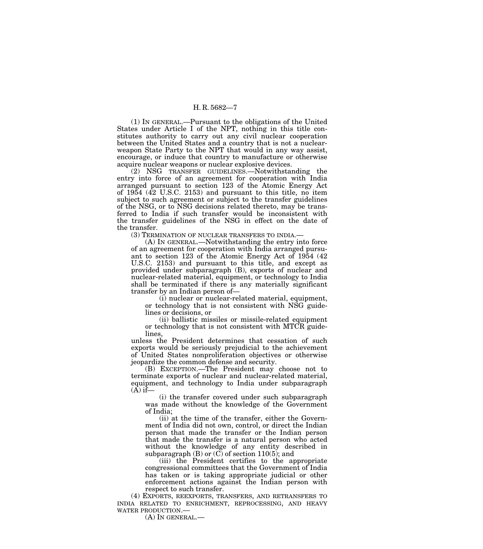(1) IN GENERAL.—Pursuant to the obligations of the United States under Article I of the NPT, nothing in this title constitutes authority to carry out any civil nuclear cooperation between the United States and a country that is not a nuclearweapon State Party to the NPT that would in any way assist, encourage, or induce that country to manufacture or otherwise acquire nuclear weapons or nuclear explosive devices.

(2) NSG TRANSFER GUIDELINES.—Notwithstanding the entry into force of an agreement for cooperation with India arranged pursuant to section 123 of the Atomic Energy Act of  $1954$  ( $42$  U.S.C. 2153) and pursuant to this title, no item subject to such agreement or subject to the transfer guidelines of the NSG, or to NSG decisions related thereto, may be transferred to India if such transfer would be inconsistent with the transfer guidelines of the NSG in effect on the date of the transfer.

(3) TERMINATION OF NUCLEAR TRANSFERS TO INDIA.—

(A) IN GENERAL.—Notwithstanding the entry into force of an agreement for cooperation with India arranged pursuant to section 123 of the Atomic Energy Act of 1954 (42 U.S.C. 2153) and pursuant to this title, and except as provided under subparagraph (B), exports of nuclear and nuclear-related material, equipment, or technology to India shall be terminated if there is any materially significant transfer by an Indian person of—

(i) nuclear or nuclear-related material, equipment, or technology that is not consistent with NSG guidelines or decisions, or

(ii) ballistic missiles or missile-related equipment or technology that is not consistent with MTCR guidelines,

unless the President determines that cessation of such exports would be seriously prejudicial to the achievement of United States nonproliferation objectives or otherwise jeopardize the common defense and security.

(B) EXCEPTION.—The President may choose not to terminate exports of nuclear and nuclear-related material, equipment, and technology to India under subparagraph  $(A)$  if—

(i) the transfer covered under such subparagraph was made without the knowledge of the Government of India;

(ii) at the time of the transfer, either the Government of India did not own, control, or direct the Indian person that made the transfer or the Indian person that made the transfer is a natural person who acted without the knowledge of any entity described in subparagraph  $(B)$  or  $(C)$  of section 110(5); and

(iii) the President certifies to the appropriate congressional committees that the Government of India has taken or is taking appropriate judicial or other enforcement actions against the Indian person with respect to such transfer.

(4) EXPORTS, REEXPORTS, TRANSFERS, AND RETRANSFERS TO INDIA RELATED TO ENRICHMENT, REPROCESSING, AND HEAVY WATER PRODUCTION.—

(A) IN GENERAL.—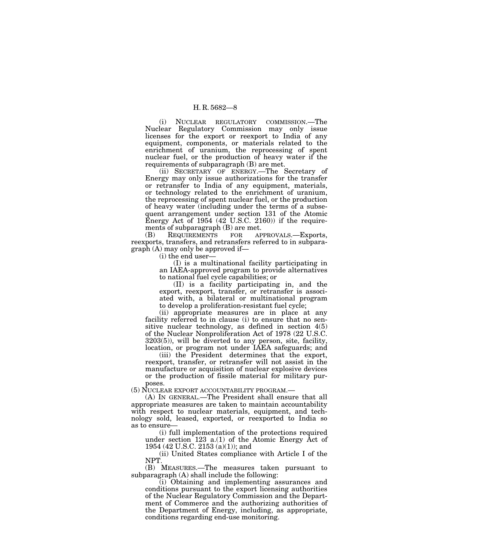(i) NUCLEAR REGULATORY COMMISSION.—The Nuclear Regulatory Commission may only issue licenses for the export or reexport to India of any equipment, components, or materials related to the enrichment of uranium, the reprocessing of spent nuclear fuel, or the production of heavy water if the requirements of subparagraph (B) are met.

(ii) SECRETARY OF ENERGY.—The Secretary of Energy may only issue authorizations for the transfer or retransfer to India of any equipment, materials, or technology related to the enrichment of uranium, the reprocessing of spent nuclear fuel, or the production of heavy water (including under the terms of a subsequent arrangement under section 131 of the Atomic Energy Act of 1954 (42 U.S.C. 2160)) if the require-

ments of subparagraph (B) are met.<br>(B) REQUIREMENTS FOR AP APPROVALS.—Exports, reexports, transfers, and retransfers referred to in subpara $graph (A)$  may only be approved if—

(i) the end user—

(I) is a multinational facility participating in an IAEA-approved program to provide alternatives to national fuel cycle capabilities; or

(II) is a facility participating in, and the export, reexport, transfer, or retransfer is associated with, a bilateral or multinational program to develop a proliferation-resistant fuel cycle;

(ii) appropriate measures are in place at any facility referred to in clause (i) to ensure that no sensitive nuclear technology, as defined in section 4(5) of the Nuclear Nonproliferation Act of 1978 (22 U.S.C. 3203(5)), will be diverted to any person, site, facility, location, or program not under IAEA safeguards; and

(iii) the President determines that the export, reexport, transfer, or retransfer will not assist in the manufacture or acquisition of nuclear explosive devices or the production of fissile material for military purposes.

(5) NUCLEAR EXPORT ACCOUNTABILITY PROGRAM.—

(A) IN GENERAL.—The President shall ensure that all appropriate measures are taken to maintain accountability with respect to nuclear materials, equipment, and technology sold, leased, exported, or reexported to India so as to ensure—

(i) full implementation of the protections required under section 123 a.(1) of the Atomic Energy Act of 1954 (42 U.S.C. 2153 (a)(1)); and

(ii) United States compliance with Article I of the NPT.

(B) MEASURES.—The measures taken pursuant to subparagraph (A) shall include the following:

 $(i)$  Obtaining and implementing assurances and conditions pursuant to the export licensing authorities of the Nuclear Regulatory Commission and the Department of Commerce and the authorizing authorities of the Department of Energy, including, as appropriate, conditions regarding end-use monitoring.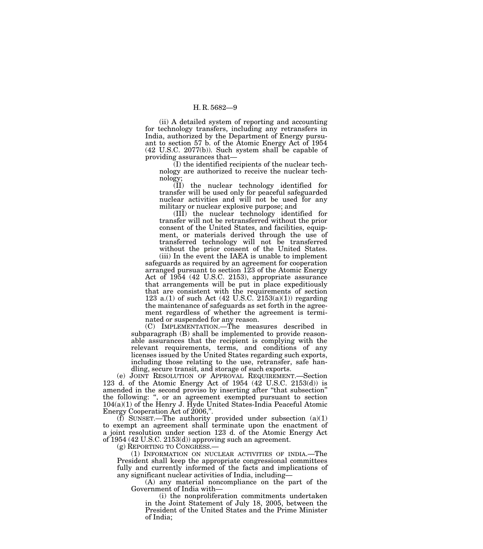(ii) A detailed system of reporting and accounting for technology transfers, including any retransfers in India, authorized by the Department of Energy pursuant to section 57 b. of the Atomic Energy Act of 1954 (42 U.S.C. 2077(b)). Such system shall be capable of providing assurances that—

(I) the identified recipients of the nuclear technology are authorized to receive the nuclear technology;

 $\tilde{I}$ II) the nuclear technology identified for transfer will be used only for peaceful safeguarded nuclear activities and will not be used for any military or nuclear explosive purpose; and

(III) the nuclear technology identified for transfer will not be retransferred without the prior consent of the United States, and facilities, equipment, or materials derived through the use of transferred technology will not be transferred without the prior consent of the United States.

(iii) In the event the IAEA is unable to implement safeguards as required by an agreement for cooperation arranged pursuant to section 123 of the Atomic Energy Act of 1954 (42 U.S.C. 2153), appropriate assurance that arrangements will be put in place expeditiously that are consistent with the requirements of section 123 a.(1) of such Act (42 U.S.C.  $2153(a)(1)$ ) regarding the maintenance of safeguards as set forth in the agreement regardless of whether the agreement is terminated or suspended for any reason.

(C) IMPLEMENTATION.—The measures described in subparagraph (B) shall be implemented to provide reasonable assurances that the recipient is complying with the relevant requirements, terms, and conditions of any licenses issued by the United States regarding such exports, including those relating to the use, retransfer, safe handling, secure transit, and storage of such exports.

(e) JOINT RESOLUTION OF APPROVAL REQUIREMENT.—Section 123 d. of the Atomic Energy Act of 1954 (42 U.S.C. 2153(d)) is amended in the second proviso by inserting after ''that subsection'' the following: '', or an agreement exempted pursuant to section  $104(a)(1)$  of the Henry J. Hyde United States-India Peaceful Atomic Energy Cooperation Act of 2006,''.

 $(f)$  SUNSET.—The authority provided under subsection  $(a)(1)$ to exempt an agreement shall terminate upon the enactment of a joint resolution under section 123 d. of the Atomic Energy Act of 1954 (42 U.S.C. 2153(d)) approving such an agreement.

(g) REPORTING TO CONGRESS.—

(1) INFORMATION ON NUCLEAR ACTIVITIES OF INDIA.—The President shall keep the appropriate congressional committees fully and currently informed of the facts and implications of any significant nuclear activities of India, including—

(A) any material noncompliance on the part of the Government of India with—

(i) the nonproliferation commitments undertaken in the Joint Statement of July 18, 2005, between the President of the United States and the Prime Minister of India;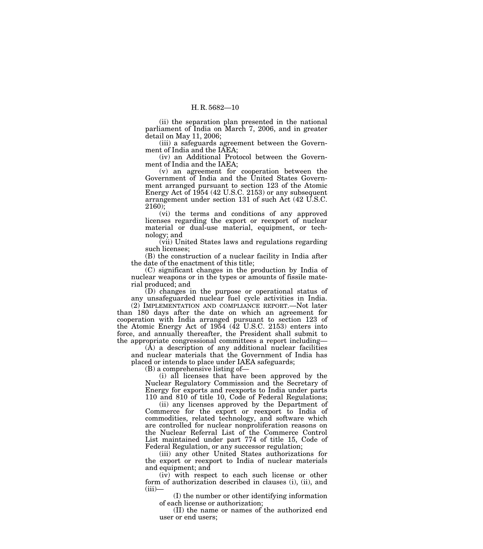(ii) the separation plan presented in the national parliament of India on March 7, 2006, and in greater detail on May 11, 2006;

(iii) a safeguards agreement between the Government of India and the IAEA;

(iv) an Additional Protocol between the Government of India and the IAEA;

(v) an agreement for cooperation between the Government of India and the United States Government arranged pursuant to section 123 of the Atomic Energy Act of 1954 (42 U.S.C. 2153) or any subsequent arrangement under section 131 of such Act (42 U.S.C. 2160);

(vi) the terms and conditions of any approved licenses regarding the export or reexport of nuclear material or dual-use material, equipment, or technology; and

(vii) United States laws and regulations regarding such licenses;

(B) the construction of a nuclear facility in India after the date of the enactment of this title;

(C) significant changes in the production by India of nuclear weapons or in the types or amounts of fissile material produced; and

(D) changes in the purpose or operational status of any unsafeguarded nuclear fuel cycle activities in India.

(2) IMPLEMENTATION AND COMPLIANCE REPORT.—Not later than 180 days after the date on which an agreement for cooperation with India arranged pursuant to section 123 of the Atomic Energy Act of 1954 (42 U.S.C. 2153) enters into force, and annually thereafter, the President shall submit to the appropriate congressional committees a report including—

 $(\tilde{A})$  a description of any additional nuclear facilities and nuclear materials that the Government of India has placed or intends to place under IAEA safeguards;

(B) a comprehensive listing of—

(i) all licenses that have been approved by the Nuclear Regulatory Commission and the Secretary of Energy for exports and reexports to India under parts 110 and 810 of title 10, Code of Federal Regulations;

(ii) any licenses approved by the Department of Commerce for the export or reexport to India of commodities, related technology, and software which are controlled for nuclear nonproliferation reasons on the Nuclear Referral List of the Commerce Control List maintained under part 774 of title 15, Code of Federal Regulation, or any successor regulation;

(iii) any other United States authorizations for the export or reexport to India of nuclear materials and equipment; and

(iv) with respect to each such license or other form of authorization described in clauses (i), (ii), and  $(iii)$ 

(I) the number or other identifying information of each license or authorization;

(II) the name or names of the authorized end user or end users;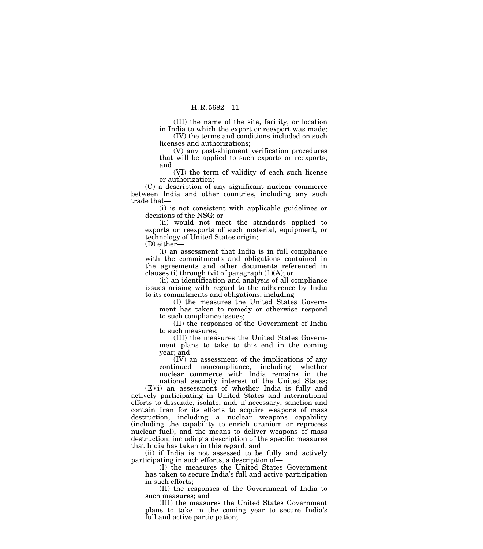(III) the name of the site, facility, or location in India to which the export or reexport was made;

(IV) the terms and conditions included on such licenses and authorizations;

(V) any post-shipment verification procedures that will be applied to such exports or reexports; and

(VI) the term of validity of each such license or authorization;

(C) a description of any significant nuclear commerce between India and other countries, including any such trade that—

(i) is not consistent with applicable guidelines or decisions of the NSG; or

(ii) would not meet the standards applied to exports or reexports of such material, equipment, or technology of United States origin;

(D) either—

(i) an assessment that India is in full compliance with the commitments and obligations contained in the agreements and other documents referenced in clauses (i) through (vi) of paragraph  $(1)(A)$ ; or

(ii) an identification and analysis of all compliance issues arising with regard to the adherence by India to its commitments and obligations, including—

(I) the measures the United States Government has taken to remedy or otherwise respond to such compliance issues;

(II) the responses of the Government of India to such measures;

(III) the measures the United States Government plans to take to this end in the coming year; and

(IV) an assessment of the implications of any continued noncompliance, including whether nuclear commerce with India remains in the national security interest of the United States;

(E)(i) an assessment of whether India is fully and actively participating in United States and international efforts to dissuade, isolate, and, if necessary, sanction and contain Iran for its efforts to acquire weapons of mass destruction, including a nuclear weapons capability (including the capability to enrich uranium or reprocess nuclear fuel), and the means to deliver weapons of mass destruction, including a description of the specific measures that India has taken in this regard; and

(ii) if India is not assessed to be fully and actively participating in such efforts, a description of—

(I) the measures the United States Government has taken to secure India's full and active participation in such efforts;

(II) the responses of the Government of India to such measures; and

(III) the measures the United States Government plans to take in the coming year to secure India's full and active participation;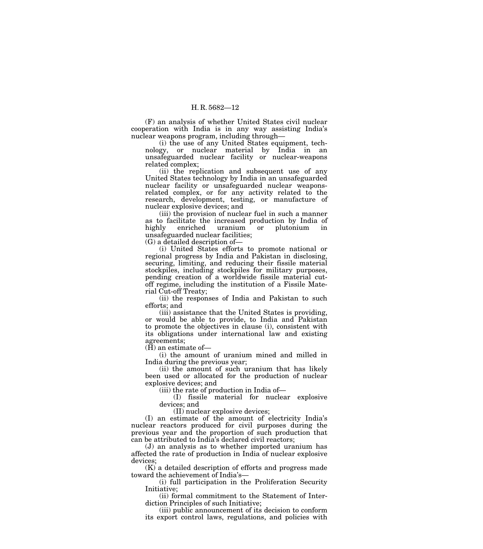(F) an analysis of whether United States civil nuclear cooperation with India is in any way assisting India's nuclear weapons program, including through—

(i) the use of any United States equipment, technology, or nuclear material by India in an unsafeguarded nuclear facility or nuclear-weapons related complex;

(ii) the replication and subsequent use of any United States technology by India in an unsafeguarded nuclear facility or unsafeguarded nuclear weaponsrelated complex, or for any activity related to the research, development, testing, or manufacture of nuclear explosive devices; and

(iii) the provision of nuclear fuel in such a manner as to facilitate the increased production by India of highly enriched uranium or plutonium in unsafeguarded nuclear facilities;

(G) a detailed description of—

(i) United States efforts to promote national or regional progress by India and Pakistan in disclosing, securing, limiting, and reducing their fissile material stockpiles, including stockpiles for military purposes, pending creation of a worldwide fissile material cutoff regime, including the institution of a Fissile Material Cut-off Treaty;

(ii) the responses of India and Pakistan to such efforts; and

(iii) assistance that the United States is providing, or would be able to provide, to India and Pakistan to promote the objectives in clause (i), consistent with its obligations under international law and existing agreements;

 $(H)$  an estimate of —

(i) the amount of uranium mined and milled in India during the previous year;

(ii) the amount of such uranium that has likely been used or allocated for the production of nuclear explosive devices; and

(iii) the rate of production in India of—

(I) fissile material for nuclear explosive devices; and

(II) nuclear explosive devices;

(I) an estimate of the amount of electricity India's nuclear reactors produced for civil purposes during the previous year and the proportion of such production that can be attributed to India's declared civil reactors;

(J) an analysis as to whether imported uranium has affected the rate of production in India of nuclear explosive devices;

(K) a detailed description of efforts and progress made toward the achievement of India's—

(i) full participation in the Proliferation Security Initiative;

(ii) formal commitment to the Statement of Interdiction Principles of such Initiative;

(iii) public announcement of its decision to conform its export control laws, regulations, and policies with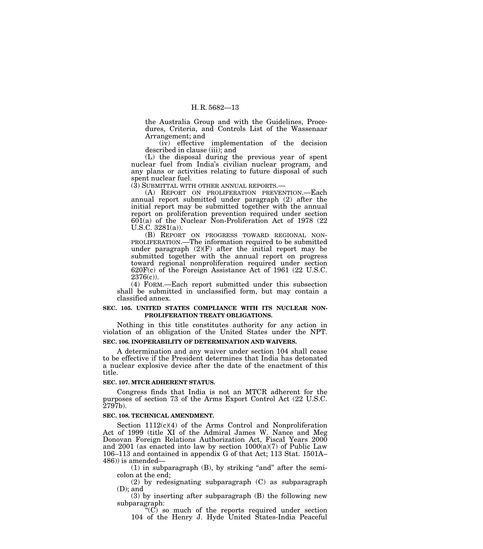the Australia Group and with the Guidelines, Procedures, Criteria, and Controls List of the Wassenaar Arrangement; and

(iv) effective implementation of the decision described in clause (iii); and

(L) the disposal during the previous year of spent nuclear fuel from India's civilian nuclear program, and any plans or activities relating to future disposal of such spent nuclear fuel.

(3) SUBMITTAL WITH OTHER ANNUAL REPORTS.—

(A) REPORT ON PROLIFERATION PREVENTION.—Each annual report submitted under paragraph (2) after the initial report may be submitted together with the annual report on proliferation prevention required under section  $601(a)$  of the Nuclear Non-Proliferation Act of 1978 (22)

U.S.C. 3281(a)).<br>(B) REPORT ON PROGRESS TOWARD REGIONAL NON-PROLIFERATION.—The information required to be submitted under paragraph  $(2)(F)$  after the initial report may be submitted together with the annual report on progress toward regional nonproliferation required under section 620F(c) of the Foreign Assistance Act of 1961 (22 U.S.C. 2376(c)).

(4) FORM.—Each report submitted under this subsection shall be submitted in unclassified form, but may contain a classified annex.

#### **SEC. 105. UNITED STATES COMPLIANCE WITH ITS NUCLEAR NON-PROLIFERATION TREATY OBLIGATIONS.**

Nothing in this title constitutes authority for any action in violation of an obligation of the United States under the NPT.

#### **SEC. 106. INOPERABILITY OF DETERMINATION AND WAIVERS.**

A determination and any waiver under section 104 shall cease to be effective if the President determines that India has detonated a nuclear explosive device after the date of the enactment of this title.

#### **SEC. 107. MTCR ADHERENT STATUS.**

Congress finds that India is not an MTCR adherent for the purposes of section 73 of the Arms Export Control Act (22 U.S.C. 2797b).

#### **SEC. 108. TECHNICAL AMENDMENT.**

Section  $1112(c)(4)$  of the Arms Control and Nonproliferation Act of 1999 (title XI of the Admiral James W. Nance and Meg Donovan Foreign Relations Authorization Act, Fiscal Years 2000 and 2001 (as enacted into law by section  $1000(a)(7)$  of Public Law 106–113 and contained in appendix G of that Act; 113 Stat. 1501A– 486)) is amended—

 $(1)$  in subparagraph  $(B)$ , by striking "and" after the semicolon at the end;

(2) by redesignating subparagraph (C) as subparagraph (D); and

(3) by inserting after subparagraph (B) the following new subparagraph:

 $\mathcal{C}^{\prime}(\mathbf{C})$  so much of the reports required under section 104 of the Henry J. Hyde United States-India Peaceful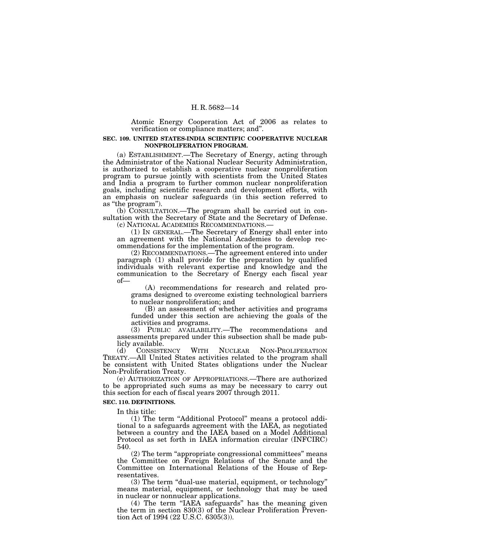Atomic Energy Cooperation Act of 2006 as relates to verification or compliance matters; and''.

#### **SEC. 109. UNITED STATES-INDIA SCIENTIFIC COOPERATIVE NUCLEAR NONPROLIFERATION PROGRAM.**

(a) ESTABLISHMENT.—The Secretary of Energy, acting through the Administrator of the National Nuclear Security Administration, is authorized to establish a cooperative nuclear nonproliferation program to pursue jointly with scientists from the United States and India a program to further common nuclear nonproliferation goals, including scientific research and development efforts, with an emphasis on nuclear safeguards (in this section referred to as ''the program'').

(b) CONSULTATION.—The program shall be carried out in consultation with the Secretary of State and the Secretary of Defense.<br>(c) NATIONAL ACADEMIES RECOMMENDATIONS.—

 $(1)$  In GENERAL.—The Secretary of Energy shall enter into an agreement with the National Academies to develop recommendations for the implementation of the program.

(2) RECOMMENDATIONS.—The agreement entered into under paragraph (1) shall provide for the preparation by qualified individuals with relevant expertise and knowledge and the communication to the Secretary of Energy each fiscal year of—

(A) recommendations for research and related programs designed to overcome existing technological barriers to nuclear nonproliferation; and

(B) an assessment of whether activities and programs funded under this section are achieving the goals of the activities and programs.

(3) PUBLIC AVAILABILITY.—The recommendations and assessments prepared under this subsection shall be made publicly available.

(d) CONSISTENCY WITH NUCLEAR NON-PROLIFERATION TREATY.—All United States activities related to the program shall be consistent with United States obligations under the Nuclear Non-Proliferation Treaty.

(e) AUTHORIZATION OF APPROPRIATIONS.—There are authorized to be appropriated such sums as may be necessary to carry out this section for each of fiscal years 2007 through 2011.

#### **SEC. 110. DEFINITIONS.**

In this title:

(1) The term ''Additional Protocol'' means a protocol additional to a safeguards agreement with the IAEA, as negotiated between a country and the IAEA based on a Model Additional Protocol as set forth in IAEA information circular (INFCIRC) 540.

(2) The term ''appropriate congressional committees'' means the Committee on Foreign Relations of the Senate and the Committee on International Relations of the House of Representatives.

(3) The term ''dual-use material, equipment, or technology'' means material, equipment, or technology that may be used in nuclear or nonnuclear applications.

(4) The term ''IAEA safeguards'' has the meaning given the term in section 830(3) of the Nuclear Proliferation Prevention Act of 1994 (22 U.S.C. 6305(3)).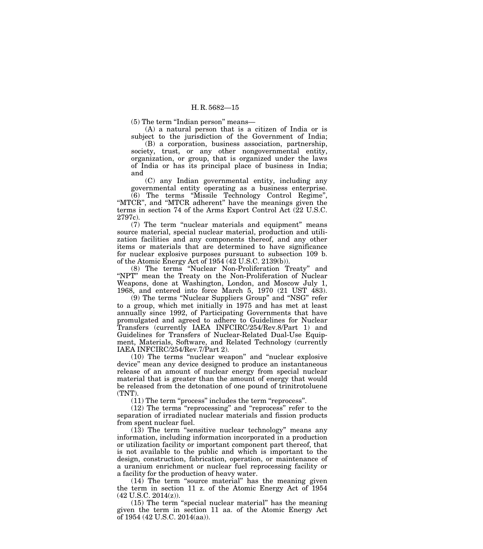(5) The term ''Indian person'' means—

(A) a natural person that is a citizen of India or is subject to the jurisdiction of the Government of India;

(B) a corporation, business association, partnership, society, trust, or any other nongovernmental entity, organization, or group, that is organized under the laws of India or has its principal place of business in India; and

(C) any Indian governmental entity, including any governmental entity operating as a business enterprise.

(6) The terms ''Missile Technology Control Regime'', "MTCR", and "MTCR adherent" have the meanings given the terms in section 74 of the Arms Export Control Act (22 U.S.C. 2797c).

(7) The term ''nuclear materials and equipment'' means source material, special nuclear material, production and utilization facilities and any components thereof, and any other items or materials that are determined to have significance for nuclear explosive purposes pursuant to subsection 109 b. of the Atomic Energy Act of 1954 (42 U.S.C. 2139(b)).

(8) The terms ''Nuclear Non-Proliferation Treaty'' and "NPT" mean the Treaty on the Non-Proliferation of Nuclear Weapons, done at Washington, London, and Moscow July 1, 1968, and entered into force March 5, 1970 (21 UST 483).

(9) The terms ''Nuclear Suppliers Group'' and ''NSG'' refer to a group, which met initially in 1975 and has met at least annually since 1992, of Participating Governments that have promulgated and agreed to adhere to Guidelines for Nuclear Transfers (currently IAEA INFCIRC/254/Rev.8/Part 1) and Guidelines for Transfers of Nuclear-Related Dual-Use Equipment, Materials, Software, and Related Technology (currently IAEA INFCIRC/254/Rev.7/Part 2).

(10) The terms ''nuclear weapon'' and ''nuclear explosive device'' mean any device designed to produce an instantaneous release of an amount of nuclear energy from special nuclear material that is greater than the amount of energy that would be released from the detonation of one pound of trinitrotoluene (TNT).

(11) The term ''process'' includes the term ''reprocess''.

(12) The terms ''reprocessing'' and ''reprocess'' refer to the separation of irradiated nuclear materials and fission products from spent nuclear fuel.

(13) The term ''sensitive nuclear technology'' means any information, including information incorporated in a production or utilization facility or important component part thereof, that is not available to the public and which is important to the design, construction, fabrication, operation, or maintenance of a uranium enrichment or nuclear fuel reprocessing facility or a facility for the production of heavy water.

(14) The term ''source material'' has the meaning given the term in section 11 z. of the Atomic Energy Act of 1954  $(42 \text{ U.S.C. } 2014(z)).$ 

(15) The term ''special nuclear material'' has the meaning given the term in section 11 aa. of the Atomic Energy Act of 1954 (42 U.S.C. 2014(aa)).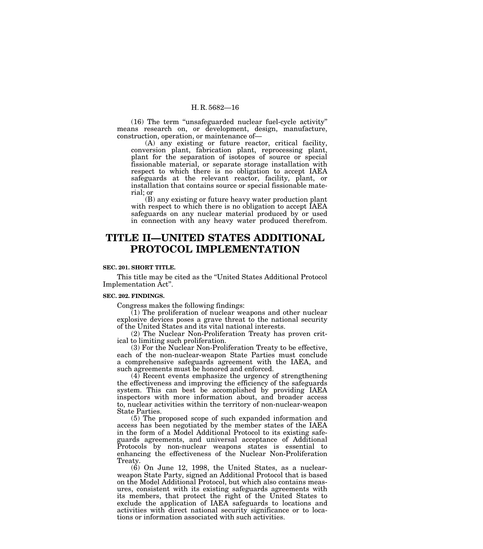(16) The term ''unsafeguarded nuclear fuel-cycle activity'' means research on, or development, design, manufacture, construction, operation, or maintenance of—

(A) any existing or future reactor, critical facility, conversion plant, fabrication plant, reprocessing plant, plant for the separation of isotopes of source or special fissionable material, or separate storage installation with respect to which there is no obligation to accept IAEA safeguards at the relevant reactor, facility, plant, or installation that contains source or special fissionable material; or

(B) any existing or future heavy water production plant with respect to which there is no obligation to accept IAEA safeguards on any nuclear material produced by or used in connection with any heavy water produced therefrom.

# **TITLE II—UNITED STATES ADDITIONAL PROTOCOL IMPLEMENTATION**

#### **SEC. 201. SHORT TITLE.**

This title may be cited as the ''United States Additional Protocol Implementation Act''.

#### **SEC. 202. FINDINGS.**

Congress makes the following findings:

(1) The proliferation of nuclear weapons and other nuclear explosive devices poses a grave threat to the national security of the United States and its vital national interests.

(2) The Nuclear Non-Proliferation Treaty has proven critical to limiting such proliferation.

(3) For the Nuclear Non-Proliferation Treaty to be effective, each of the non-nuclear-weapon State Parties must conclude a comprehensive safeguards agreement with the IAEA, and such agreements must be honored and enforced.

(4) Recent events emphasize the urgency of strengthening the effectiveness and improving the efficiency of the safeguards system. This can best be accomplished by providing IAEA inspectors with more information about, and broader access to, nuclear activities within the territory of non-nuclear-weapon State Parties.

(5) The proposed scope of such expanded information and access has been negotiated by the member states of the IAEA in the form of a Model Additional Protocol to its existing safeguards agreements, and universal acceptance of Additional Protocols by non-nuclear weapons states is essential to enhancing the effectiveness of the Nuclear Non-Proliferation Treaty.

 $(6)$  On June 12, 1998, the United States, as a nuclearweapon State Party, signed an Additional Protocol that is based on the Model Additional Protocol, but which also contains measures, consistent with its existing safeguards agreements with its members, that protect the right of the United States to exclude the application of IAEA safeguards to locations and activities with direct national security significance or to locations or information associated with such activities.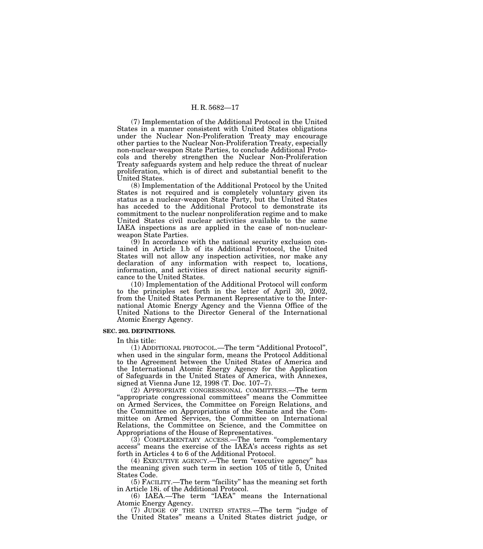(7) Implementation of the Additional Protocol in the United States in a manner consistent with United States obligations under the Nuclear Non-Proliferation Treaty may encourage other parties to the Nuclear Non-Proliferation Treaty, especially non-nuclear-weapon State Parties, to conclude Additional Protocols and thereby strengthen the Nuclear Non-Proliferation Treaty safeguards system and help reduce the threat of nuclear proliferation, which is of direct and substantial benefit to the United States.

(8) Implementation of the Additional Protocol by the United States is not required and is completely voluntary given its status as a nuclear-weapon State Party, but the United States has acceded to the Additional Protocol to demonstrate its commitment to the nuclear nonproliferation regime and to make United States civil nuclear activities available to the same IAEA inspections as are applied in the case of non-nuclearweapon State Parties.

(9) In accordance with the national security exclusion contained in Article 1.b of its Additional Protocol, the United States will not allow any inspection activities, nor make any declaration of any information with respect to, locations, information, and activities of direct national security significance to the United States.

(10) Implementation of the Additional Protocol will conform to the principles set forth in the letter of April 30, 2002, from the United States Permanent Representative to the International Atomic Energy Agency and the Vienna Office of the United Nations to the Director General of the International Atomic Energy Agency.

#### **SEC. 203. DEFINITIONS.**

In this title:

(1) ADDITIONAL PROTOCOL.—The term ''Additional Protocol'', when used in the singular form, means the Protocol Additional to the Agreement between the United States of America and the International Atomic Energy Agency for the Application of Safeguards in the United States of America, with Annexes, signed at Vienna June 12, 1998 (T. Doc. 107–7).

(2) APPROPRIATE CONGRESSIONAL COMMITTEES.—The term ''appropriate congressional committees'' means the Committee on Armed Services, the Committee on Foreign Relations, and the Committee on Appropriations of the Senate and the Committee on Armed Services, the Committee on International Relations, the Committee on Science, and the Committee on Appropriations of the House of Representatives.

(3) COMPLEMENTARY ACCESS.—The term ''complementary access'' means the exercise of the IAEA's access rights as set forth in Articles 4 to 6 of the Additional Protocol.

(4) EXECUTIVE AGENCY.—The term ''executive agency'' has the meaning given such term in section 105 of title 5, United States Code.

(5) FACILITY.—The term ''facility'' has the meaning set forth in Article 18i. of the Additional Protocol.

(6) IAEA.—The term ''IAEA'' means the International Atomic Energy Agency.

(7) JUDGE OF THE UNITED STATES.—The term ''judge of the United States'' means a United States district judge, or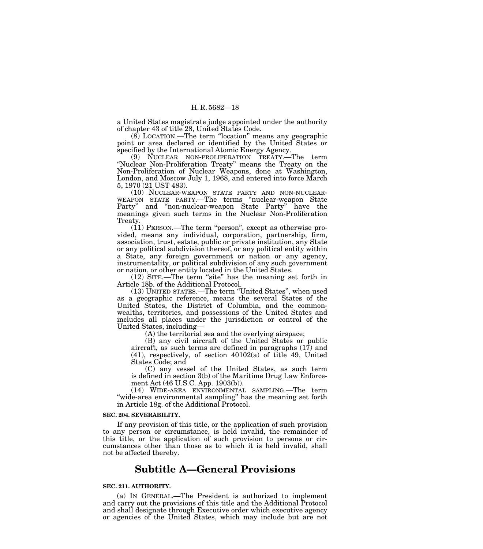a United States magistrate judge appointed under the authority of chapter 43 of title 28, United States Code.

 $(8)$  LOCATION.—The term "location" means any geographic point or area declared or identified by the United States or specified by the International Atomic Energy Agency.

(9) NUCLEAR NON-PROLIFERATION TREATY.—The term ''Nuclear Non-Proliferation Treaty'' means the Treaty on the Non-Proliferation of Nuclear Weapons, done at Washington, London, and Moscow July 1, 1968, and entered into force March 5, 1970 (21 UST 483).

(10) NUCLEAR-WEAPON STATE PARTY AND NON-NUCLEAR-WEAPON STATE PARTY.—The terms ''nuclear-weapon State Party" and "non-nuclear-weapon State Party" have the meanings given such terms in the Nuclear Non-Proliferation Treaty.

(11) PERSON.—The term ''person'', except as otherwise provided, means any individual, corporation, partnership, firm, association, trust, estate, public or private institution, any State or any political subdivision thereof, or any political entity within a State, any foreign government or nation or any agency, instrumentality, or political subdivision of any such government or nation, or other entity located in the United States.

(12) SITE.—The term ''site'' has the meaning set forth in Article 18b. of the Additional Protocol.

(13) UNITED STATES.—The term ''United States'', when used as a geographic reference, means the several States of the United States, the District of Columbia, and the commonwealths, territories, and possessions of the United States and includes all places under the jurisdiction or control of the United States, including—

(A) the territorial sea and the overlying airspace;

(B) any civil aircraft of the United States or public aircraft, as such terms are defined in paragraphs  $(17)$  and (41), respectively, of section 40102(a) of title 49, United States Code; and

(C) any vessel of the United States, as such term is defined in section 3(b) of the Maritime Drug Law Enforcement Act (46 U.S.C. App. 1903(b)).

(14) WIDE-AREA ENVIRONMENTAL SAMPLING.—The term "wide-area environmental sampling" has the meaning set forth in Article 18g. of the Additional Protocol.

#### **SEC. 204. SEVERABILITY.**

If any provision of this title, or the application of such provision to any person or circumstance, is held invalid, the remainder of this title, or the application of such provision to persons or circumstances other than those as to which it is held invalid, shall not be affected thereby.

### **Subtitle A—General Provisions**

#### **SEC. 211. AUTHORITY.**

(a) IN GENERAL.—The President is authorized to implement and carry out the provisions of this title and the Additional Protocol and shall designate through Executive order which executive agency or agencies of the United States, which may include but are not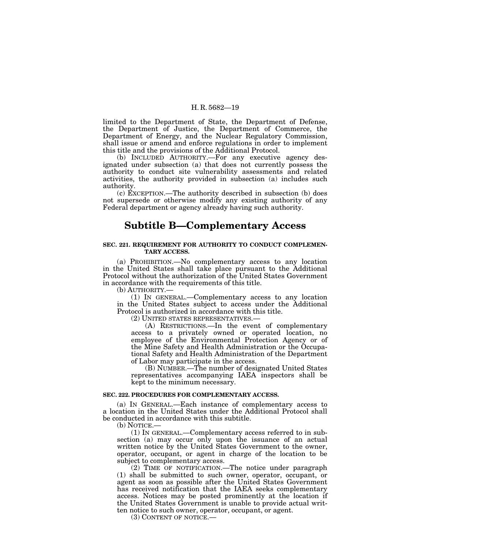limited to the Department of State, the Department of Defense, the Department of Justice, the Department of Commerce, the Department of Energy, and the Nuclear Regulatory Commission, shall issue or amend and enforce regulations in order to implement this title and the provisions of the Additional Protocol.

(b) INCLUDED AUTHORITY.—For any executive agency designated under subsection (a) that does not currently possess the authority to conduct site vulnerability assessments and related activities, the authority provided in subsection (a) includes such authority.

(c) EXCEPTION.—The authority described in subsection (b) does not supersede or otherwise modify any existing authority of any Federal department or agency already having such authority.

# **Subtitle B—Complementary Access**

#### **SEC. 221. REQUIREMENT FOR AUTHORITY TO CONDUCT COMPLEMEN-TARY ACCESS.**

(a) PROHIBITION.—No complementary access to any location in the United States shall take place pursuant to the Additional Protocol without the authorization of the United States Government in accordance with the requirements of this title.

(b) AUTHORITY.—

(1) IN GENERAL.—Complementary access to any location in the United States subject to access under the Additional Protocol is authorized in accordance with this title.

(2) UNITED STATES REPRESENTATIVES.—

(A) RESTRICTIONS.—In the event of complementary access to a privately owned or operated location, no employee of the Environmental Protection Agency or of the Mine Safety and Health Administration or the Occupational Safety and Health Administration of the Department of Labor may participate in the access.

(B) NUMBER.—The number of designated United States representatives accompanying IAEA inspectors shall be kept to the minimum necessary.

#### **SEC. 222. PROCEDURES FOR COMPLEMENTARY ACCESS.**

(a) IN GENERAL.—Each instance of complementary access to a location in the United States under the Additional Protocol shall be conducted in accordance with this subtitle.

(b) NOTICE.—

(1) IN GENERAL.—Complementary access referred to in subsection (a) may occur only upon the issuance of an actual written notice by the United States Government to the owner, operator, occupant, or agent in charge of the location to be subject to complementary access.

(2) TIME OF NOTIFICATION.—The notice under paragraph (1) shall be submitted to such owner, operator, occupant, or agent as soon as possible after the United States Government has received notification that the IAEA seeks complementary access. Notices may be posted prominently at the location if the United States Government is unable to provide actual written notice to such owner, operator, occupant, or agent.

(3) CONTENT OF NOTICE.—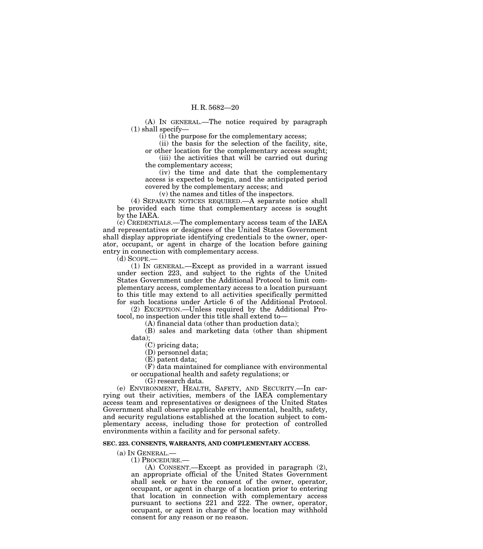(A) IN GENERAL.—The notice required by paragraph (1) shall specify—

(i) the purpose for the complementary access;

(ii) the basis for the selection of the facility, site, or other location for the complementary access sought;

(iii) the activities that will be carried out during the complementary access;

(iv) the time and date that the complementary access is expected to begin, and the anticipated period covered by the complementary access; and

(v) the names and titles of the inspectors.

(4) SEPARATE NOTICES REQUIRED.—A separate notice shall be provided each time that complementary access is sought by the IAEA.

(c) CREDENTIALS.—The complementary access team of the IAEA and representatives or designees of the United States Government shall display appropriate identifying credentials to the owner, operator, occupant, or agent in charge of the location before gaining entry in connection with complementary access.

(d) SCOPE.—

(1) IN GENERAL.—Except as provided in a warrant issued under section 223, and subject to the rights of the United States Government under the Additional Protocol to limit complementary access, complementary access to a location pursuant to this title may extend to all activities specifically permitted for such locations under Article 6 of the Additional Protocol.

(2) EXCEPTION.—Unless required by the Additional Protocol, no inspection under this title shall extend to—

(A) financial data (other than production data);

(B) sales and marketing data (other than shipment data);

(C) pricing data;

(D) personnel data;

(E) patent data;

(F) data maintained for compliance with environmental or occupational health and safety regulations; or

 $(G)$  research data.

(e) ENVIRONMENT, HEALTH, SAFETY, AND SECURITY.—In carrying out their activities, members of the IAEA complementary access team and representatives or designees of the United States Government shall observe applicable environmental, health, safety, and security regulations established at the location subject to complementary access, including those for protection of controlled environments within a facility and for personal safety.

#### **SEC. 223. CONSENTS, WARRANTS, AND COMPLEMENTARY ACCESS.**

(a) IN GENERAL.—

(1) PROCEDURE.—

(A) CONSENT.—Except as provided in paragraph (2), an appropriate official of the United States Government shall seek or have the consent of the owner, operator, occupant, or agent in charge of a location prior to entering that location in connection with complementary access pursuant to sections 221 and 222. The owner, operator, occupant, or agent in charge of the location may withhold consent for any reason or no reason.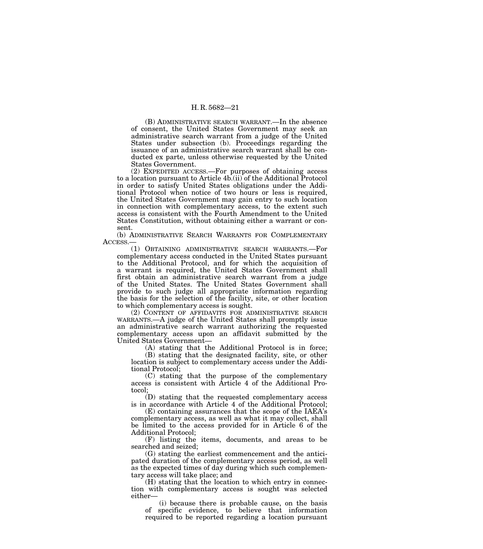(B) ADMINISTRATIVE SEARCH WARRANT.—In the absence of consent, the United States Government may seek an administrative search warrant from a judge of the United States under subsection (b). Proceedings regarding the issuance of an administrative search warrant shall be conducted ex parte, unless otherwise requested by the United States Government.

(2) EXPEDITED ACCESS.—For purposes of obtaining access to a location pursuant to Article 4b.(ii) of the Additional Protocol in order to satisfy United States obligations under the Additional Protocol when notice of two hours or less is required, the United States Government may gain entry to such location in connection with complementary access, to the extent such access is consistent with the Fourth Amendment to the United States Constitution, without obtaining either a warrant or consent.

(b) ADMINISTRATIVE SEARCH WARRANTS FOR COMPLEMENTARY ACCESS.—

(1) OBTAINING ADMINISTRATIVE SEARCH WARRANTS.—For complementary access conducted in the United States pursuant to the Additional Protocol, and for which the acquisition of a warrant is required, the United States Government shall first obtain an administrative search warrant from a judge of the United States. The United States Government shall provide to such judge all appropriate information regarding the basis for the selection of the facility, site, or other location to which complementary access is sought.

(2) CONTENT OF AFFIDAVITS FOR ADMINISTRATIVE SEARCH WARRANTS.—A judge of the United States shall promptly issue an administrative search warrant authorizing the requested complementary access upon an affidavit submitted by the United States Government—

(A) stating that the Additional Protocol is in force; (B) stating that the designated facility, site, or other location is subject to complementary access under the Additional Protocol;

(C) stating that the purpose of the complementary access is consistent with Article 4 of the Additional Protocol;

(D) stating that the requested complementary access is in accordance with Article 4 of the Additional Protocol;

(E) containing assurances that the scope of the IAEA's complementary access, as well as what it may collect, shall be limited to the access provided for in Article 6 of the Additional Protocol;

(F) listing the items, documents, and areas to be searched and seized;

(G) stating the earliest commencement and the anticipated duration of the complementary access period, as well as the expected times of day during which such complementary access will take place; and

(H) stating that the location to which entry in connection with complementary access is sought was selected either—

(i) because there is probable cause, on the basis of specific evidence, to believe that information required to be reported regarding a location pursuant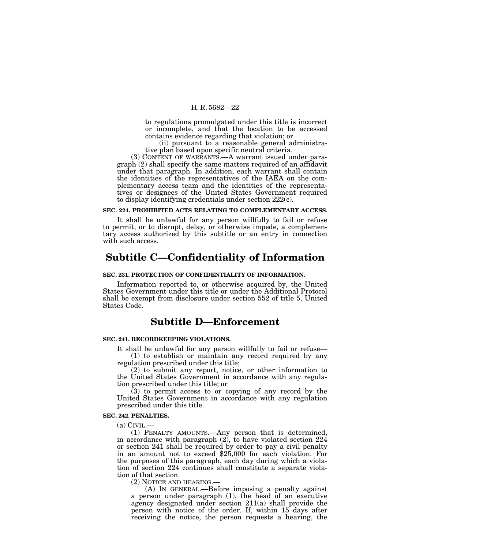to regulations promulgated under this title is incorrect or incomplete, and that the location to be accessed contains evidence regarding that violation; or

(ii) pursuant to a reasonable general administrative plan based upon specific neutral criteria.

(3) CONTENT OF WARRANTS.—A warrant issued under paragraph (2) shall specify the same matters required of an affidavit under that paragraph. In addition, each warrant shall contain the identities of the representatives of the IAEA on the complementary access team and the identities of the representatives or designees of the United States Government required to display identifying credentials under section 222(c).

#### **SEC. 224. PROHIBITED ACTS RELATING TO COMPLEMENTARY ACCESS.**

It shall be unlawful for any person willfully to fail or refuse to permit, or to disrupt, delay, or otherwise impede, a complementary access authorized by this subtitle or an entry in connection with such access.

### **Subtitle C—Confidentiality of Information**

#### **SEC. 231. PROTECTION OF CONFIDENTIALITY OF INFORMATION.**

Information reported to, or otherwise acquired by, the United States Government under this title or under the Additional Protocol shall be exempt from disclosure under section 552 of title 5, United States Code.

### **Subtitle D—Enforcement**

#### **SEC. 241. RECORDKEEPING VIOLATIONS.**

It shall be unlawful for any person willfully to fail or refuse— (1) to establish or maintain any record required by any

regulation prescribed under this title;

(2) to submit any report, notice, or other information to the United States Government in accordance with any regulation prescribed under this title; or

 $(3)$  to permit access to or copying of any record by the United States Government in accordance with any regulation prescribed under this title.

#### **SEC. 242. PENALTIES.**

 $(a)$  CIVIL. $-$ 

(1) PENALTY AMOUNTS.—Any person that is determined, in accordance with paragraph (2), to have violated section 224 or section 241 shall be required by order to pay a civil penalty in an amount not to exceed \$25,000 for each violation. For the purposes of this paragraph, each day during which a violation of section 224 continues shall constitute a separate violation of that section.

(2) NOTICE AND HEARING.—

(A) IN GENERAL.—Before imposing a penalty against a person under paragraph (1), the head of an executive agency designated under section 211(a) shall provide the person with notice of the order. If, within 15 days after receiving the notice, the person requests a hearing, the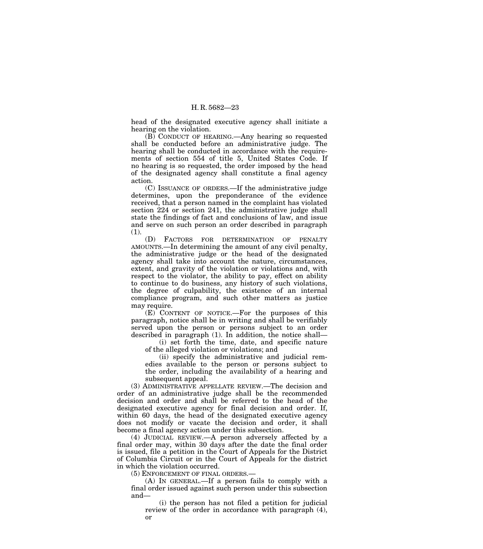head of the designated executive agency shall initiate a hearing on the violation.

(B) CONDUCT OF HEARING.—Any hearing so requested shall be conducted before an administrative judge. The hearing shall be conducted in accordance with the requirements of section 554 of title 5, United States Code. If no hearing is so requested, the order imposed by the head of the designated agency shall constitute a final agency action.

(C) ISSUANCE OF ORDERS.—If the administrative judge determines, upon the preponderance of the evidence received, that a person named in the complaint has violated section 224 or section 241, the administrative judge shall state the findings of fact and conclusions of law, and issue and serve on such person an order described in paragraph (1).

(D) FACTORS FOR DETERMINATION OF PENALTY AMOUNTS.—In determining the amount of any civil penalty, the administrative judge or the head of the designated agency shall take into account the nature, circumstances, extent, and gravity of the violation or violations and, with respect to the violator, the ability to pay, effect on ability to continue to do business, any history of such violations, the degree of culpability, the existence of an internal compliance program, and such other matters as justice may require.

(E) CONTENT OF NOTICE.—For the purposes of this paragraph, notice shall be in writing and shall be verifiably served upon the person or persons subject to an order described in paragraph (1). In addition, the notice shall—

(i) set forth the time, date, and specific nature of the alleged violation or violations; and

(ii) specify the administrative and judicial remedies available to the person or persons subject to the order, including the availability of a hearing and subsequent appeal.

(3) ADMINISTRATIVE APPELLATE REVIEW.—The decision and order of an administrative judge shall be the recommended decision and order and shall be referred to the head of the designated executive agency for final decision and order. If, within 60 days, the head of the designated executive agency does not modify or vacate the decision and order, it shall become a final agency action under this subsection.

(4) JUDICIAL REVIEW.—A person adversely affected by a final order may, within 30 days after the date the final order is issued, file a petition in the Court of Appeals for the District of Columbia Circuit or in the Court of Appeals for the district in which the violation occurred.

(5) ENFORCEMENT OF FINAL ORDERS.—

(A) IN GENERAL.—If a person fails to comply with a final order issued against such person under this subsection and—

(i) the person has not filed a petition for judicial review of the order in accordance with paragraph (4), or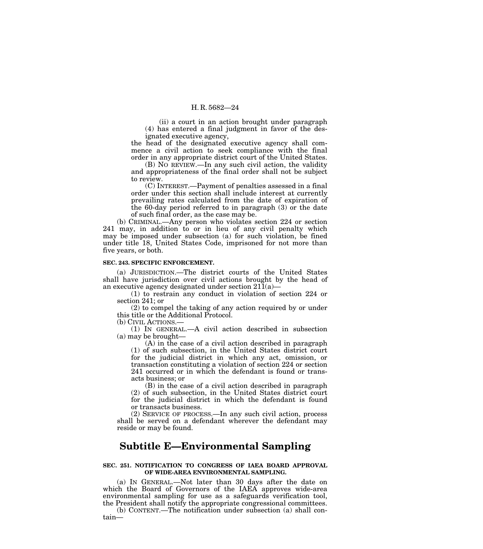(ii) a court in an action brought under paragraph (4) has entered a final judgment in favor of the designated executive agency,

the head of the designated executive agency shall commence a civil action to seek compliance with the final order in any appropriate district court of the United States.

(B) NO REVIEW.—In any such civil action, the validity and appropriateness of the final order shall not be subject to review.

(C) INTEREST.—Payment of penalties assessed in a final order under this section shall include interest at currently prevailing rates calculated from the date of expiration of the 60-day period referred to in paragraph (3) or the date of such final order, as the case may be.

(b) CRIMINAL.—Any person who violates section 224 or section 241 may, in addition to or in lieu of any civil penalty which may be imposed under subsection (a) for such violation, be fined under title 18, United States Code, imprisoned for not more than five years, or both.

#### **SEC. 243. SPECIFIC ENFORCEMENT.**

(a) JURISDICTION.—The district courts of the United States shall have jurisdiction over civil actions brought by the head of an executive agency designated under section 211(a)—

(1) to restrain any conduct in violation of section 224 or section 241; or

(2) to compel the taking of any action required by or under this title or the Additional Protocol.

(b) CIVIL ACTIONS.—

(1) IN GENERAL.—A civil action described in subsection (a) may be brought—

(A) in the case of a civil action described in paragraph (1) of such subsection, in the United States district court for the judicial district in which any act, omission, or transaction constituting a violation of section 224 or section 241 occurred or in which the defendant is found or transacts business; or

(B) in the case of a civil action described in paragraph (2) of such subsection, in the United States district court for the judicial district in which the defendant is found or transacts business.

(2) SERVICE OF PROCESS.—In any such civil action, process shall be served on a defendant wherever the defendant may reside or may be found.

### **Subtitle E—Environmental Sampling**

#### **SEC. 251. NOTIFICATION TO CONGRESS OF IAEA BOARD APPROVAL OF WIDE-AREA ENVIRONMENTAL SAMPLING.**

(a) IN GENERAL.—Not later than 30 days after the date on which the Board of Governors of the IAEA approves wide-area environmental sampling for use as a safeguards verification tool, the President shall notify the appropriate congressional committees.

(b) CONTENT.—The notification under subsection (a) shall contain—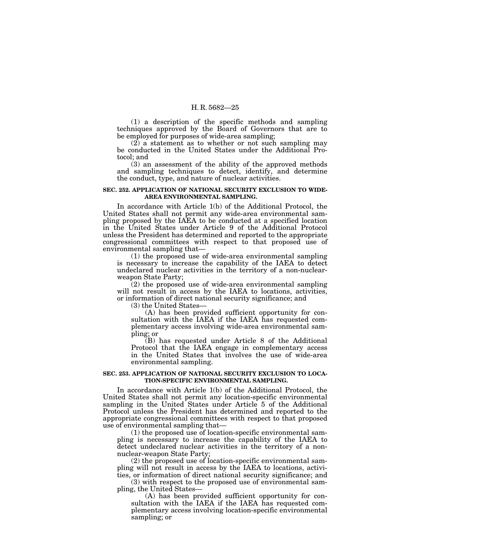(1) a description of the specific methods and sampling techniques approved by the Board of Governors that are to be employed for purposes of wide-area sampling;

(2) a statement as to whether or not such sampling may be conducted in the United States under the Additional Protocol; and

(3) an assessment of the ability of the approved methods and sampling techniques to detect, identify, and determine the conduct, type, and nature of nuclear activities.

#### **SEC. 252. APPLICATION OF NATIONAL SECURITY EXCLUSION TO WIDE-AREA ENVIRONMENTAL SAMPLING.**

In accordance with Article 1(b) of the Additional Protocol, the United States shall not permit any wide-area environmental sampling proposed by the IAEA to be conducted at a specified location in the United States under Article 9 of the Additional Protocol unless the President has determined and reported to the appropriate congressional committees with respect to that proposed use of environmental sampling that—

(1) the proposed use of wide-area environmental sampling is necessary to increase the capability of the IAEA to detect undeclared nuclear activities in the territory of a non-nuclearweapon State Party;

 $(2)$  the proposed use of wide-area environmental sampling will not result in access by the IAEA to locations, activities, or information of direct national security significance; and

(3) the United States—

(A) has been provided sufficient opportunity for consultation with the IAEA if the IAEA has requested complementary access involving wide-area environmental sampling; or

(B) has requested under Article 8 of the Additional Protocol that the IAEA engage in complementary access in the United States that involves the use of wide-area environmental sampling.

#### **SEC. 253. APPLICATION OF NATIONAL SECURITY EXCLUSION TO LOCA-TION-SPECIFIC ENVIRONMENTAL SAMPLING.**

In accordance with Article 1(b) of the Additional Protocol, the United States shall not permit any location-specific environmental sampling in the United States under Article 5 of the Additional Protocol unless the President has determined and reported to the appropriate congressional committees with respect to that proposed use of environmental sampling that—

(1) the proposed use of location-specific environmental sampling is necessary to increase the capability of the IAEA to detect undeclared nuclear activities in the territory of a nonnuclear-weapon State Party;

(2) the proposed use of location-specific environmental sampling will not result in access by the IAEA to locations, activities, or information of direct national security significance; and

(3) with respect to the proposed use of environmental sampling, the United States—

(A) has been provided sufficient opportunity for consultation with the IAEA if the IAEA has requested complementary access involving location-specific environmental sampling; or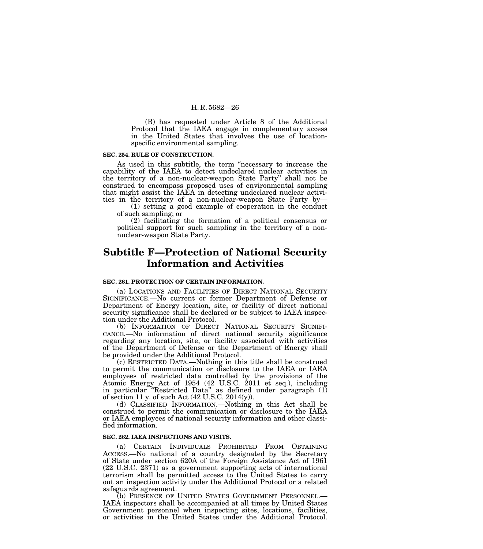(B) has requested under Article 8 of the Additional Protocol that the IAEA engage in complementary access in the United States that involves the use of locationspecific environmental sampling.

#### **SEC. 254. RULE OF CONSTRUCTION.**

As used in this subtitle, the term ''necessary to increase the capability of the IAEA to detect undeclared nuclear activities in the territory of a non-nuclear-weapon State Party'' shall not be construed to encompass proposed uses of environmental sampling that might assist the IAEA in detecting undeclared nuclear activities in the territory of a non-nuclear-weapon State Party by—

(1) setting a good example of cooperation in the conduct of such sampling; or

(2) facilitating the formation of a political consensus or political support for such sampling in the territory of a nonnuclear-weapon State Party.

## **Subtitle F—Protection of National Security Information and Activities**

#### **SEC. 261. PROTECTION OF CERTAIN INFORMATION.**

(a) LOCATIONS AND FACILITIES OF DIRECT NATIONAL SECURITY SIGNIFICANCE.—No current or former Department of Defense or Department of Energy location, site, or facility of direct national security significance shall be declared or be subject to IAEA inspection under the Additional Protocol.

(b) INFORMATION OF DIRECT NATIONAL SECURITY SIGNIFI-CANCE.—No information of direct national security significance regarding any location, site, or facility associated with activities of the Department of Defense or the Department of Energy shall be provided under the Additional Protocol.

(c) RESTRICTED DATA.—Nothing in this title shall be construed to permit the communication or disclosure to the IAEA or IAEA employees of restricted data controlled by the provisions of the Atomic Energy Act of 1954 (42 U.S.C. 2011 et seq.), including in particular "Restricted Data" as defined under paragraph (1) of section 11 y. of such Act (42 U.S.C. 2014(y)).

(d) CLASSIFIED INFORMATION.—Nothing in this Act shall be construed to permit the communication or disclosure to the IAEA or IAEA employees of national security information and other classified information.

#### **SEC. 262. IAEA INSPECTIONS AND VISITS.**

(a) CERTAIN INDIVIDUALS PROHIBITED FROM OBTAINING ACCESS.—No national of a country designated by the Secretary of State under section 620A of the Foreign Assistance Act of 1961 (22 U.S.C. 2371) as a government supporting acts of international terrorism shall be permitted access to the United States to carry out an inspection activity under the Additional Protocol or a related safeguards agreement.

(b) PRESENCE OF UNITED STATES GOVERNMENT PERSONNEL.— IAEA inspectors shall be accompanied at all times by United States Government personnel when inspecting sites, locations, facilities, or activities in the United States under the Additional Protocol.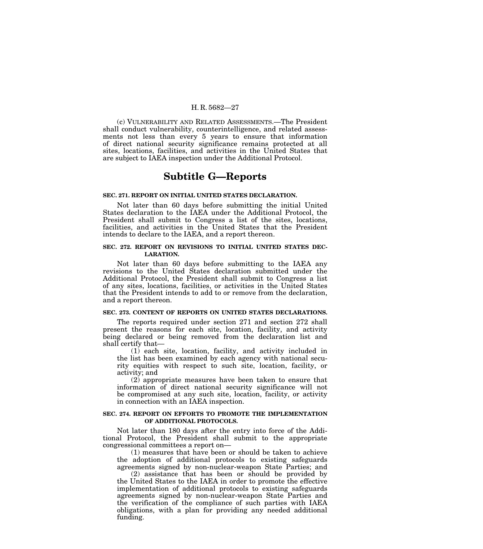(c) VULNERABILITY AND RELATED ASSESSMENTS.—The President shall conduct vulnerability, counterintelligence, and related assessments not less than every 5 years to ensure that information of direct national security significance remains protected at all sites, locations, facilities, and activities in the United States that are subject to IAEA inspection under the Additional Protocol.

### **Subtitle G—Reports**

#### **SEC. 271. REPORT ON INITIAL UNITED STATES DECLARATION.**

Not later than 60 days before submitting the initial United States declaration to the IAEA under the Additional Protocol, the President shall submit to Congress a list of the sites, locations, facilities, and activities in the United States that the President intends to declare to the IAEA, and a report thereon.

#### **SEC. 272. REPORT ON REVISIONS TO INITIAL UNITED STATES DEC-LARATION.**

Not later than 60 days before submitting to the IAEA any revisions to the United States declaration submitted under the Additional Protocol, the President shall submit to Congress a list of any sites, locations, facilities, or activities in the United States that the President intends to add to or remove from the declaration, and a report thereon.

#### **SEC. 273. CONTENT OF REPORTS ON UNITED STATES DECLARATIONS.**

The reports required under section 271 and section 272 shall present the reasons for each site, location, facility, and activity being declared or being removed from the declaration list and shall certify that—

(1) each site, location, facility, and activity included in the list has been examined by each agency with national security equities with respect to such site, location, facility, or activity; and

(2) appropriate measures have been taken to ensure that information of direct national security significance will not be compromised at any such site, location, facility, or activity in connection with an IAEA inspection.

#### **SEC. 274. REPORT ON EFFORTS TO PROMOTE THE IMPLEMENTATION OF ADDITIONAL PROTOCOLS.**

Not later than 180 days after the entry into force of the Additional Protocol, the President shall submit to the appropriate congressional committees a report on—

(1) measures that have been or should be taken to achieve the adoption of additional protocols to existing safeguards agreements signed by non-nuclear-weapon State Parties; and

(2) assistance that has been or should be provided by the United States to the IAEA in order to promote the effective implementation of additional protocols to existing safeguards agreements signed by non-nuclear-weapon State Parties and the verification of the compliance of such parties with IAEA obligations, with a plan for providing any needed additional funding.